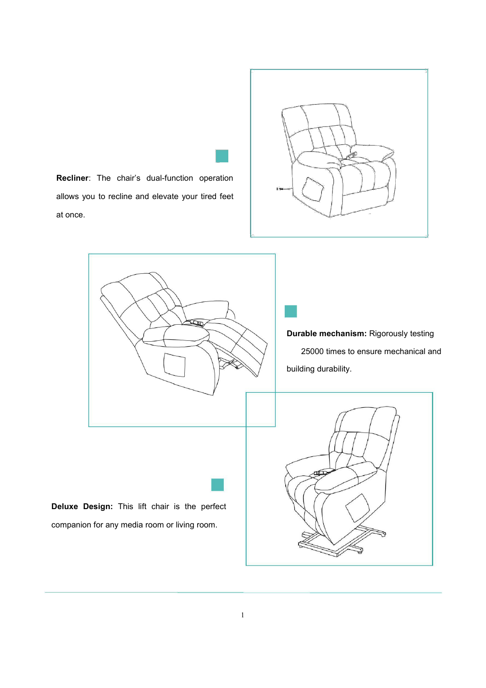D

**Recliner**: The chair's dual-function operation allows you to recline and elevate your tired feet at once.

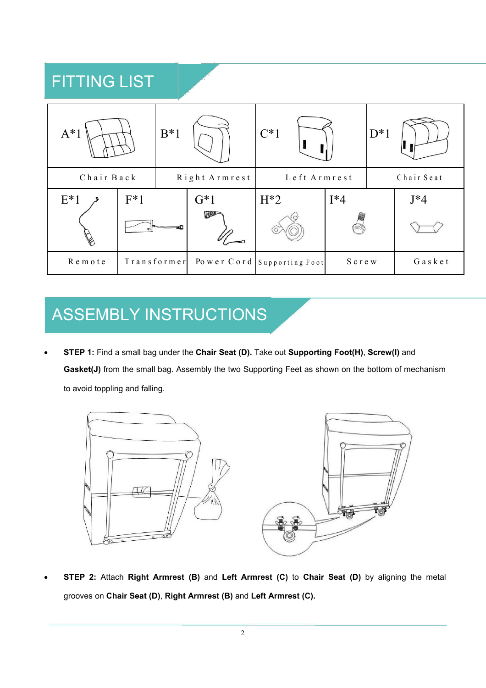## FITTING LIST

| $A^*1$     |       | $B*1$         |            | $C^*1$                                 |        | $D^*1$     |                 |  |
|------------|-------|---------------|------------|----------------------------------------|--------|------------|-----------------|--|
| Chair Back |       | Right Armrest |            | Left Armrest                           |        | Chair Seat |                 |  |
| $E^*1$     | $F*1$ |               | $G*1$      | $H^*2$                                 | $I^*4$ |            | $J^*4$          |  |
|            |       |               | <b>Ida</b> |                                        |        |            |                 |  |
| Remote     |       |               |            | Transformer Power Cord Supporting Foot | Screw  |            | $G$ a s $k$ e t |  |

## ASSEMBLY INSTRUCTIONS

 **STEP 1:** Find a small bag under the **Chair Seat (D).** Take out **Supporting Foot(H)**, **Screw(I)** and **Gasket(J)** from the small bag. Assembly the two Supporting Feet as shown on the bottom of mechanism to avoid toppling and falling.



 **STEP 2:** Attach **Right Armrest (B)** and **Left Armrest (C)** to **Chair Seat (D)** by aligning the metal grooves on **Chair Seat (D)**, **Right Armrest (B)** and **Left Armrest (C).**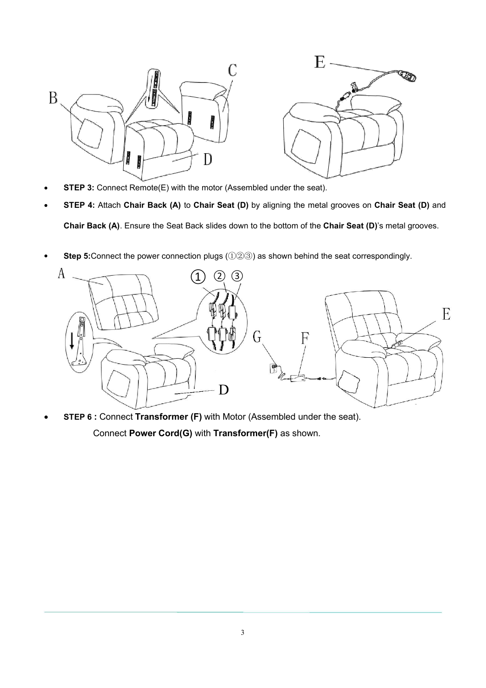

- **STEP 3:** Connect Remote(E) with the motor (Assembled under the seat).
- **STEP 4:** Attach **Chair Back (A)** to **Chair Seat (D)** by aligning the metal grooves on **Chair Seat (D)** and **Chair Back (A)**. Ensure the Seat Back slides down to the bottom of the **Chair Seat (D)**'s metal grooves.
- **Step 5:**Connect the power connection plugs (①②③) as shown behind the seat correspondingly.



 **STEP 6 :** Connect **Transformer (F)** with Motor (Assembled under the seat). Connect **Power Cord(G)** with **Transformer(F)** as shown.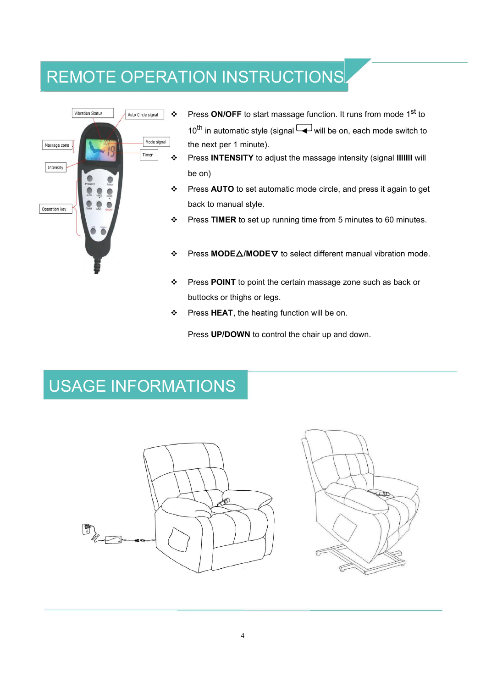# REMOTE OPERATION INSTRUCTIONS



- ❖ Press **ON/OFF** to start massage function. It runs from mode 1<sup>st</sup> to 10<sup>th</sup> in automatic style (signal └◢┘will be on, each mode switch to the next per 1 minute).
- Press **INTENSITY** to adjust the massage intensity (signal **lllllll** will be on)
- Press **AUTO** to set automatic mode circle, and press it again to get back to manual style.
- Press **TIMER** to set up running time from 5 minutes to 60 minutes.
- Press **MODE**△**/MODE**▽ to select different manual vibration mode.
- Press **POINT** to point the certain massage zone such as back or buttocks or thighs or legs.
- Press **HEAT**, the heating function will be on.

Press **UP/DOWN** to control the chair up and down.

# USAGE INFORMATIONS

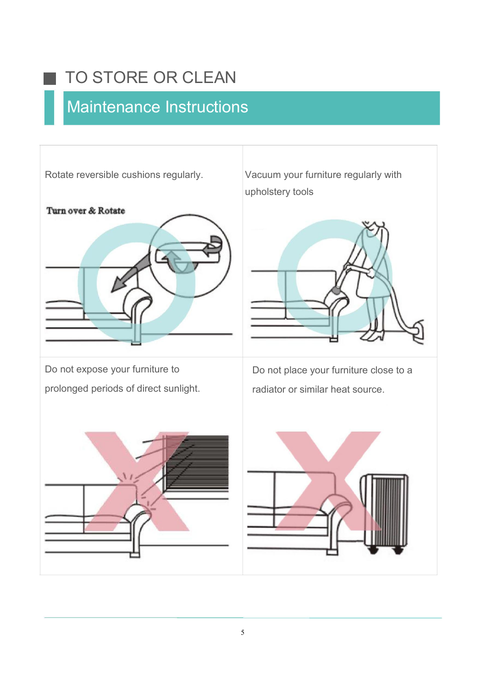# TO STORE OR CLEAN

# Maintenance Instructions

٠



Rotate reversible cushions regularly. Vacuum your furniture regularly with upholstery tools



prolonged periods of direct sunlight.

Do not expose your furniture to **Do not place your furniture close to a** radiator or similar heat source.



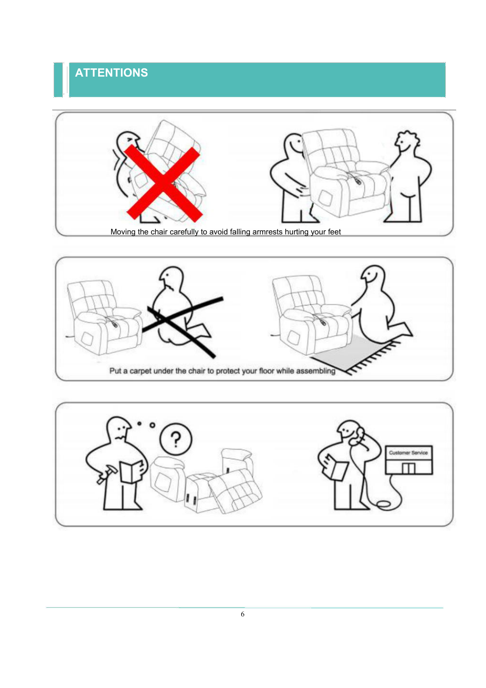### **ATTENTIONS**